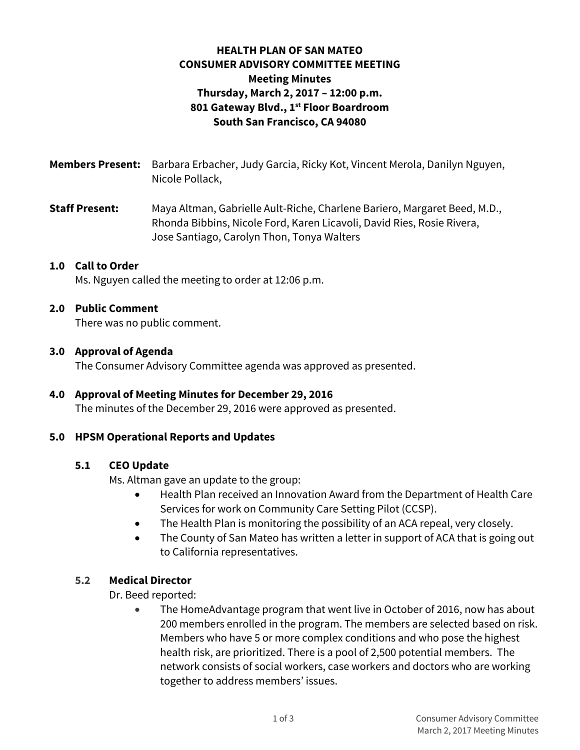# **HEALTH PLAN OF SAN MATEO CONSUMER ADVISORY COMMITTEE MEETING Meeting Minutes Thursday, March 2, 2017 – 12:00 p.m. 801 Gateway Blvd., 1st Floor Boardroom South San Francisco, CA 94080**

**Members Present:** Barbara Erbacher, Judy Garcia, Ricky Kot, Vincent Merola, Danilyn Nguyen, Nicole Pollack,

**Staff Present:** Maya Altman, Gabrielle Ault-Riche, Charlene Bariero, Margaret Beed, M.D., Rhonda Bibbins, Nicole Ford, Karen Licavoli, David Ries, Rosie Rivera, Jose Santiago, Carolyn Thon, Tonya Walters

#### **1.0 Call to Order**

Ms. Nguyen called the meeting to order at 12:06 p.m.

#### **2.0 Public Comment**

There was no public comment.

#### **3.0 Approval of Agenda**

The Consumer Advisory Committee agenda was approved as presented.

## **4.0 Approval of Meeting Minutes for December 29, 2016**

The minutes of the December 29, 2016 were approved as presented.

#### **5.0 HPSM Operational Reports and Updates**

#### **5.1 CEO Update**

Ms. Altman gave an update to the group:

- Health Plan received an Innovation Award from the Department of Health Care Services for work on Community Care Setting Pilot (CCSP).
- The Health Plan is monitoring the possibility of an ACA repeal, very closely.
- The County of San Mateo has written a letter in support of ACA that is going out to California representatives.

### **5.2 Medical Director**

Dr. Beed reported:

 The HomeAdvantage program that went live in October of 2016, now has about 200 members enrolled in the program. The members are selected based on risk. Members who have 5 or more complex conditions and who pose the highest health risk, are prioritized. There is a pool of 2,500 potential members. The network consists of social workers, case workers and doctors who are working together to address members' issues.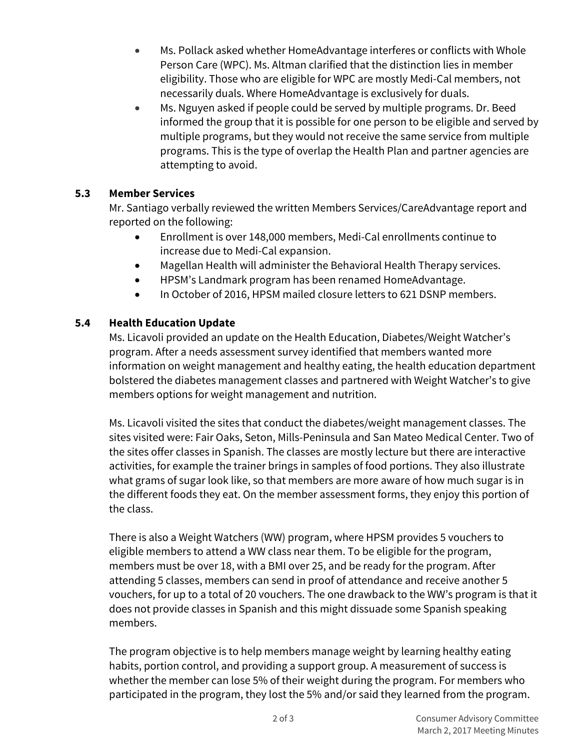- Ms. Pollack asked whether HomeAdvantage interferes or conflicts with Whole Person Care (WPC). Ms. Altman clarified that the distinction lies in member eligibility. Those who are eligible for WPC are mostly Medi-Cal members, not necessarily duals. Where HomeAdvantage is exclusively for duals.
- Ms. Nguyen asked if people could be served by multiple programs. Dr. Beed informed the group that it is possible for one person to be eligible and served by multiple programs, but they would not receive the same service from multiple programs. This is the type of overlap the Health Plan and partner agencies are attempting to avoid.

## **5.3 Member Services**

Mr. Santiago verbally reviewed the written Members Services/CareAdvantage report and reported on the following:

- Enrollment is over 148,000 members, Medi-Cal enrollments continue to increase due to Medi-Cal expansion.
- Magellan Health will administer the Behavioral Health Therapy services.
- HPSM's Landmark program has been renamed HomeAdvantage.
- In October of 2016, HPSM mailed closure letters to 621 DSNP members.

# **5.4 Health Education Update**

Ms. Licavoli provided an update on the Health Education, Diabetes/Weight Watcher's program. After a needs assessment survey identified that members wanted more information on weight management and healthy eating, the health education department bolstered the diabetes management classes and partnered with Weight Watcher's to give members options for weight management and nutrition.

Ms. Licavoli visited the sites that conduct the diabetes/weight management classes. The sites visited were: Fair Oaks, Seton, Mills-Peninsula and San Mateo Medical Center. Two of the sites offer classes in Spanish. The classes are mostly lecture but there are interactive activities, for example the trainer brings in samples of food portions. They also illustrate what grams of sugar look like, so that members are more aware of how much sugar is in the different foods they eat. On the member assessment forms, they enjoy this portion of the class.

There is also a Weight Watchers (WW) program, where HPSM provides 5 vouchers to eligible members to attend a WW class near them. To be eligible for the program, members must be over 18, with a BMI over 25, and be ready for the program. After attending 5 classes, members can send in proof of attendance and receive another 5 vouchers, for up to a total of 20 vouchers. The one drawback to the WW's program is that it does not provide classes in Spanish and this might dissuade some Spanish speaking members.

The program objective is to help members manage weight by learning healthy eating habits, portion control, and providing a support group. A measurement of success is whether the member can lose 5% of their weight during the program. For members who participated in the program, they lost the 5% and/or said they learned from the program.